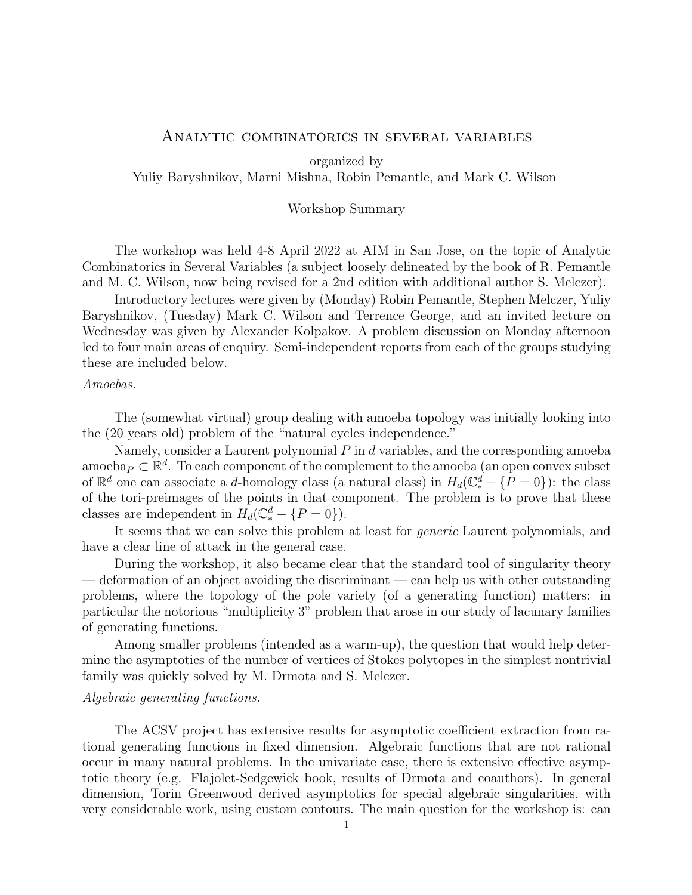#### Analytic combinatorics in several variables

organized by

Yuliy Baryshnikov, Marni Mishna, Robin Pemantle, and Mark C. Wilson

## Workshop Summary

The workshop was held 4-8 April 2022 at AIM in San Jose, on the topic of Analytic Combinatorics in Several Variables (a subject loosely delineated by the book of R. Pemantle and M. C. Wilson, now being revised for a 2nd edition with additional author S. Melczer).

Introductory lectures were given by (Monday) Robin Pemantle, Stephen Melczer, Yuliy Baryshnikov, (Tuesday) Mark C. Wilson and Terrence George, and an invited lecture on Wednesday was given by Alexander Kolpakov. A problem discussion on Monday afternoon led to four main areas of enquiry. Semi-independent reports from each of the groups studying these are included below.

# Amoebas.

The (somewhat virtual) group dealing with amoeba topology was initially looking into the (20 years old) problem of the "natural cycles independence."

Namely, consider a Laurent polynomial  $P$  in  $d$  variables, and the corresponding amoeba amoeba $_P \subset \mathbb{R}^d$ . To each component of the complement to the amoeba (an open convex subset of  $\mathbb{R}^d$  one can associate a d-homology class (a natural class) in  $H_d(\mathbb{C}_*^d - \{P = 0\})$ : the class of the tori-preimages of the points in that component. The problem is to prove that these classes are independent in  $H_d(\mathbb{C}_*^d - \{P = 0\}).$ 

It seems that we can solve this problem at least for generic Laurent polynomials, and have a clear line of attack in the general case.

During the workshop, it also became clear that the standard tool of singularity theory — deformation of an object avoiding the discriminant — can help us with other outstanding problems, where the topology of the pole variety (of a generating function) matters: in particular the notorious "multiplicity 3" problem that arose in our study of lacunary families of generating functions.

Among smaller problems (intended as a warm-up), the question that would help determine the asymptotics of the number of vertices of Stokes polytopes in the simplest nontrivial family was quickly solved by M. Drmota and S. Melczer.

## Algebraic generating functions.

The ACSV project has extensive results for asymptotic coefficient extraction from rational generating functions in fixed dimension. Algebraic functions that are not rational occur in many natural problems. In the univariate case, there is extensive effective asymptotic theory (e.g. Flajolet-Sedgewick book, results of Drmota and coauthors). In general dimension, Torin Greenwood derived asymptotics for special algebraic singularities, with very considerable work, using custom contours. The main question for the workshop is: can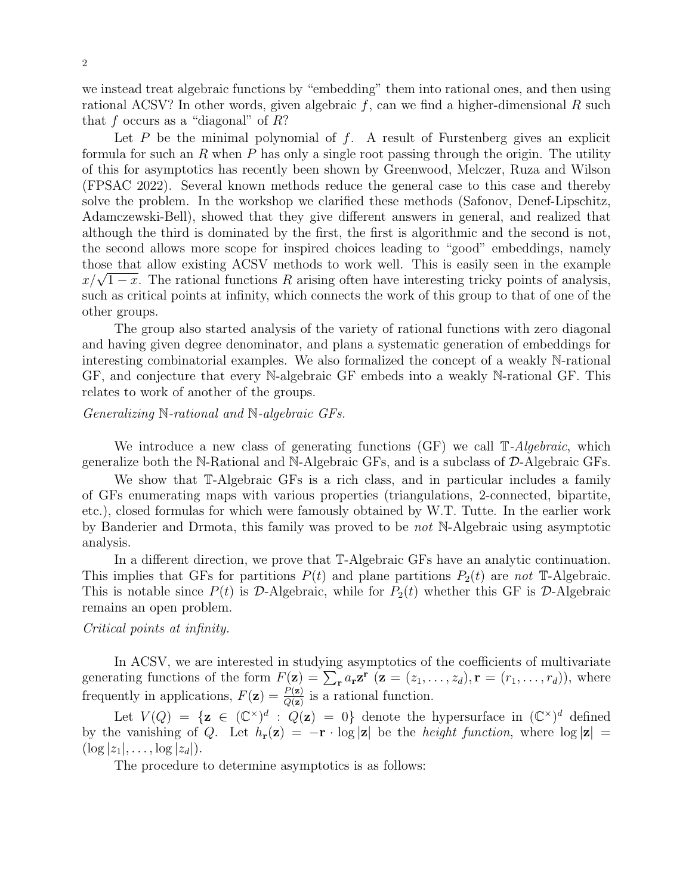we instead treat algebraic functions by "embedding" them into rational ones, and then using rational ACSV? In other words, given algebraic  $f$ , can we find a higher-dimensional  $R$  such that f occurs as a "diagonal" of  $R$ ?

Let  $P$  be the minimal polynomial of  $f$ . A result of Furstenberg gives an explicit formula for such an R when P has only a single root passing through the origin. The utility of this for asymptotics has recently been shown by Greenwood, Melczer, Ruza and Wilson (FPSAC 2022). Several known methods reduce the general case to this case and thereby solve the problem. In the workshop we clarified these methods (Safonov, Denef-Lipschitz, Adamczewski-Bell), showed that they give different answers in general, and realized that although the third is dominated by the first, the first is algorithmic and the second is not, the second allows more scope for inspired choices leading to "good" embeddings, namely those that allow existing ACSV methods to work well. This is easily seen in the example those that allow existing ACSV methods to work well. This is easily seen in the example  $x/\sqrt{1-x}$ . The rational functions R arising often have interesting tricky points of analysis, such as critical points at infinity, which connects the work of this group to that of one of the other groups.

The group also started analysis of the variety of rational functions with zero diagonal and having given degree denominator, and plans a systematic generation of embeddings for interesting combinatorial examples. We also formalized the concept of a weakly N-rational GF, and conjecture that every N-algebraic GF embeds into a weakly N-rational GF. This relates to work of another of the groups.

# Generalizing N-rational and N-algebraic GFs.

We introduce a new class of generating functions  $(GF)$  we call  $\mathbb{T}\text{-}Algebraic$ , which generalize both the N-Rational and N-Algebraic GFs, and is a subclass of  $\mathcal{D}$ -Algebraic GFs.

We show that T-Algebraic GFs is a rich class, and in particular includes a family of GFs enumerating maps with various properties (triangulations, 2-connected, bipartite, etc.), closed formulas for which were famously obtained by W.T. Tutte. In the earlier work by Banderier and Drmota, this family was proved to be not N-Algebraic using asymptotic analysis.

In a different direction, we prove that T-Algebraic GFs have an analytic continuation. This implies that GFs for partitions  $P(t)$  and plane partitions  $P_2(t)$  are not T-Algebraic. This is notable since  $P(t)$  is D-Algebraic, while for  $P_2(t)$  whether this GF is D-Algebraic remains an open problem.

#### Critical points at infinity.

In ACSV, we are interested in studying asymptotics of the coefficients of multivariate generating functions of the form  $F(\mathbf{z}) = \sum_{\mathbf{r}} a_{\mathbf{r}} \mathbf{z}^{\mathbf{r}}$  ( $\mathbf{z} = (z_1, \ldots, z_d), \mathbf{r} = (r_1, \ldots, r_d)$ ), where frequently in applications,  $F(\mathbf{z}) = \frac{P(\mathbf{z})}{Q(\mathbf{z})}$  is a rational function.

Let  $V(Q) = {\mathbf{z} \in (\mathbb{C}^{\times})^d : Q(\mathbf{z}) = 0}$  denote the hypersurface in  $(\mathbb{C}^{\times})^d$  defined by the vanishing of Q. Let  $h_{\mathbf{r}}(\mathbf{z}) = -\mathbf{r} \cdot \log |\mathbf{z}|$  be the *height function*, where  $\log |\mathbf{z}| =$  $(\log |z_1|, \ldots, \log |z_d|).$ 

The procedure to determine asymptotics is as follows: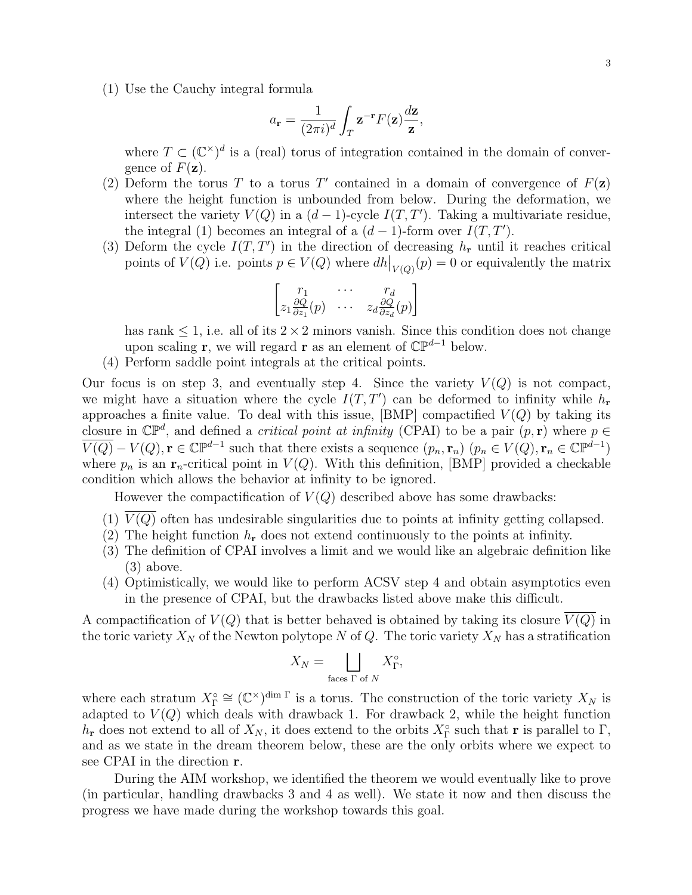(1) Use the Cauchy integral formula

$$
a_{\mathbf{r}} = \frac{1}{(2\pi i)^d} \int_T \mathbf{z}^{-\mathbf{r}} F(\mathbf{z}) \frac{d\mathbf{z}}{\mathbf{z}},
$$

where  $T \subset (\mathbb{C}^{\times})^d$  is a (real) torus of integration contained in the domain of convergence of  $F(\mathbf{z})$ .

- (2) Deform the torus T to a torus T' contained in a domain of convergence of  $F(\mathbf{z})$ where the height function is unbounded from below. During the deformation, we intersect the variety  $V(Q)$  in a  $(d-1)$ -cycle  $I(T, T')$ . Taking a multivariate residue, the integral (1) becomes an integral of a  $(d-1)$ -form over  $I(T, T')$ .
- (3) Deform the cycle  $I(T, T')$  in the direction of decreasing  $h_{\bf r}$  until it reaches critical points of  $V(Q)$  i.e. points  $p \in V(Q)$  where  $dh|_{V(Q)}(p) = 0$  or equivalently the matrix

$$
\begin{bmatrix} r_1 & \cdots & r_d \\ z_1 \frac{\partial Q}{\partial z_1}(p) & \cdots & z_d \frac{\partial Q}{\partial z_d}(p) \end{bmatrix}
$$

has rank  $\leq 1$ , i.e. all of its  $2 \times 2$  minors vanish. Since this condition does not change upon scaling **r**, we will regard **r** as an element of  $\mathbb{CP}^{d-1}$  below.

(4) Perform saddle point integrals at the critical points.

Our focus is on step 3, and eventually step 4. Since the variety  $V(Q)$  is not compact, we might have a situation where the cycle  $I(T, T')$  can be deformed to infinity while  $h_{\mathbf{r}}$ approaches a finite value. To deal with this issue,  $|BMP|$  compactified  $V(Q)$  by taking its closure in  $\mathbb{CP}^d$ , and defined a *critical point at infinity* (CPAI) to be a pair  $(p, r)$  where  $p \in$  $\overline{V(Q)} - V(Q), \mathbf{r} \in \mathbb{C} \mathbb{P}^{d-1}$  such that there exists a sequence  $(p_n, \mathbf{r}_n)$   $(p_n \in V(Q), \mathbf{r}_n \in \mathbb{C} \mathbb{P}^{d-1})$ where  $p_n$  is an  $r_n$ -critical point in  $V(Q)$ . With this definition, [BMP] provided a checkable condition which allows the behavior at infinity to be ignored.

However the compactification of  $V(Q)$  described above has some drawbacks:

- (1)  $V(Q)$  often has undesirable singularities due to points at infinity getting collapsed.
- (2) The height function  $h_{\bf r}$  does not extend continuously to the points at infinity.
- (3) The definition of CPAI involves a limit and we would like an algebraic definition like (3) above.
- (4) Optimistically, we would like to perform ACSV step 4 and obtain asymptotics even in the presence of CPAI, but the drawbacks listed above make this difficult.

A compactification of  $V(Q)$  that is better behaved is obtained by taking its closure  $\overline{V(Q)}$  in the toric variety  $X_N$  of the Newton polytope N of Q. The toric variety  $X_N$  has a stratification

$$
X_N = \bigsqcup_{\text{faces } \Gamma \text{ of } N} X_\Gamma^\circ,
$$

where each stratum  $X_{\Gamma}^{\circ} \cong (\mathbb{C}^{\times})^{\dim \Gamma}$  is a torus. The construction of the toric variety  $X_N$  is adapted to  $V(Q)$  which deals with drawback 1. For drawback 2, while the height function  $h_{\mathbf{r}}$  does not extend to all of  $X_N$ , it does extend to the orbits  $X_{\Gamma}^{\circ}$  such that  $\mathbf{r}$  is parallel to  $\Gamma$ , and as we state in the dream theorem below, these are the only orbits where we expect to see CPAI in the direction r.

During the AIM workshop, we identified the theorem we would eventually like to prove (in particular, handling drawbacks 3 and 4 as well). We state it now and then discuss the progress we have made during the workshop towards this goal.